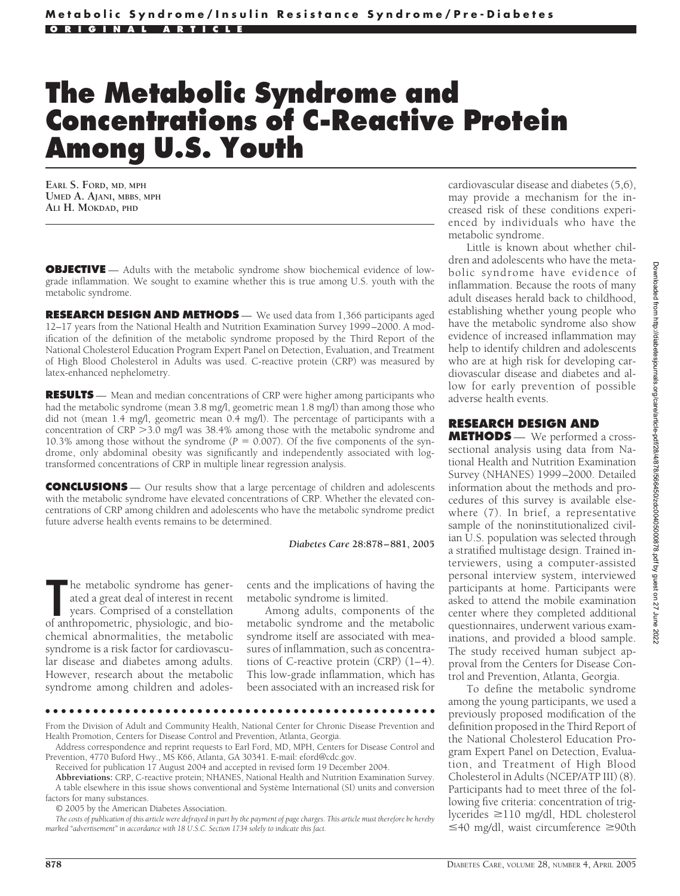## **The Metabolic Syndrome and Concentrations of C-Reactive Protein Among U.S. Youth**

**EARL S. FORD, MD, MPH UMED A. AJANI, MBBS, MPH ALI H. MOKDAD, PHD**

**OBJECTIVE** — Adults with the metabolic syndrome show biochemical evidence of lowgrade inflammation. We sought to examine whether this is true among U.S. youth with the metabolic syndrome.

**RESEARCH DESIGN AND METHODS** — We used data from 1,366 participants aged 12–17 years from the National Health and Nutrition Examination Survey 1999–2000. A modification of the definition of the metabolic syndrome proposed by the Third Report of the National Cholesterol Education Program Expert Panel on Detection, Evaluation, and Treatment of High Blood Cholesterol in Adults was used. C-reactive protein (CRP) was measured by latex-enhanced nephelometry.

**RESULTS** — Mean and median concentrations of CRP were higher among participants who had the metabolic syndrome (mean 3.8 mg/l, geometric mean 1.8 mg/l) than among those who did not (mean 1.4 mg/l, geometric mean 0.4 mg/l). The percentage of participants with a concentration of CRP > 3.0 mg/l was 38.4% among those with the metabolic syndrome and 10.3% among those without the syndrome  $(P = 0.007)$ . Of the five components of the syndrome, only abdominal obesity was significantly and independently associated with logtransformed concentrations of CRP in multiple linear regression analysis.

**CONCLUSIONS** — Our results show that a large percentage of children and adolescents with the metabolic syndrome have elevated concentrations of CRP. Whether the elevated concentrations of CRP among children and adolescents who have the metabolic syndrome predict future adverse health events remains to be determined.

## *Diabetes Care* **28:878 – 881, 2005**

The metabolic syndrome has generated a great deal of interest in recent years. Comprised of a constellation of anthropometric, physiologic, and biohe metabolic syndrome has generated a great deal of interest in recent years. Comprised of a constellation chemical abnormalities, the metabolic syndrome is a risk factor for cardiovascular disease and diabetes among adults. However, research about the metabolic syndrome among children and adoles-

cents and the implications of having the metabolic syndrome is limited.

Among adults, components of the metabolic syndrome and the metabolic syndrome itself are associated with measures of inflammation, such as concentrations of C-reactive protein (CRP) (1–4). This low-grade inflammation, which has been associated with an increased risk for

●●●●●●●●●●●●●●●●●●●●●●●●●●●●●●●●●●●●●●●●●●●●●●●●●

cardiovascular disease and diabetes (5,6), may provide a mechanism for the increased risk of these conditions experienced by individuals who have the metabolic syndrome.

Little is known about whether children and adolescents who have the metabolic syndrome have evidence of inflammation. Because the roots of many adult diseases herald back to childhood, establishing whether young people who have the metabolic syndrome also show evidence of increased inflammation may help to identify children and adolescents who are at high risk for developing cardiovascular disease and diabetes and allow for early prevention of possible adverse health events.

## **RESEARCH DESIGN AND**

**METHODS** — We performed a crosssectional analysis using data from National Health and Nutrition Examination Survey (NHANES) 1999–2000. Detailed information about the methods and procedures of this survey is available elsewhere (7). In brief, a representative sample of the noninstitutionalized civilian U.S. population was selected through a stratified multistage design. Trained interviewers, using a computer-assisted personal interview system, interviewed participants at home. Participants were asked to attend the mobile examination center where they completed additional questionnaires, underwent various examinations, and provided a blood sample. The study received human subject approval from the Centers for Disease Control and Prevention, Atlanta, Georgia.

To define the metabolic syndrome among the young participants, we used a previously proposed modification of the definition proposed in the Third Report of the National Cholesterol Education Program Expert Panel on Detection, Evaluation, and Treatment of High Blood Cholesterol in Adults (NCEP/ATP III) (8). Participants had to meet three of the following five criteria: concentration of triglycerides  $\geq$ 110 mg/dl, HDL cholesterol ≤40 mg/dl, waist circumference ≥90th

From the Division of Adult and Community Health, National Center for Chronic Disease Prevention and Health Promotion, Centers for Disease Control and Prevention, Atlanta, Georgia.

Address correspondence and reprint requests to Earl Ford, MD, MPH, Centers for Disease Control and Prevention, 4770 Buford Hwy., MS K66, Atlanta, GA 30341. E-mail: eford@cdc.gov.

Received for publication 17 August 2004 and accepted in revised form 19 December 2004.

**Abbreviations:** CRP, C-reactive protein; NHANES, National Health and Nutrition Examination Survey. A table elsewhere in this issue shows conventional and Système International (SI) units and conversion factors for many substances.

<sup>© 2005</sup> by the American Diabetes Association.

*The costs of publication of this article were defrayed in part by the payment of page charges. This article must therefore be hereby marked "advertisement" in accordance with 18 U.S.C. Section 1734 solely to indicate this fact.*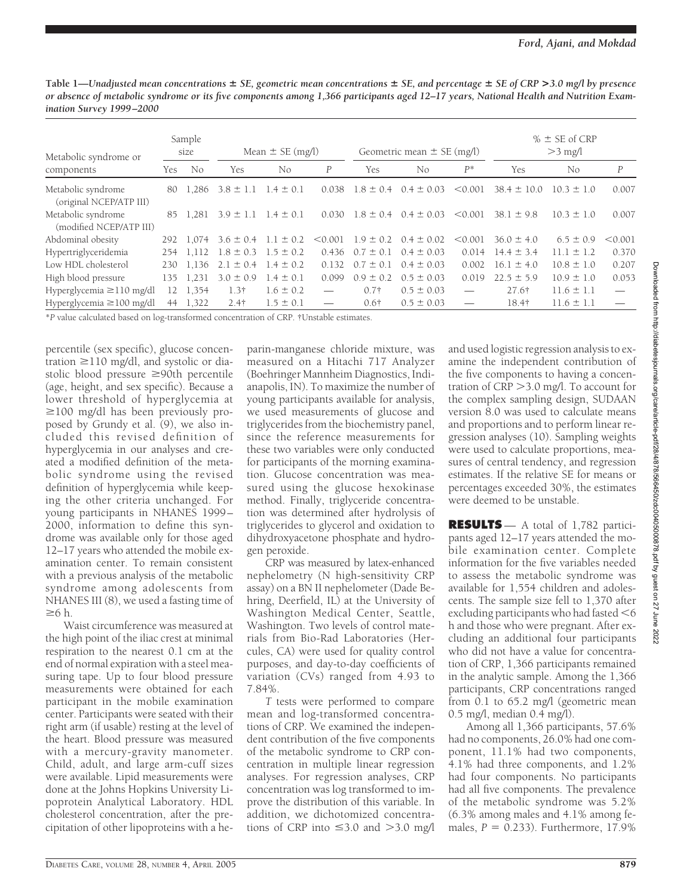**Table 1—***Unadjusted mean concentrations SE, geometric mean concentrations SE, and percentage SE of CRP* **>***3.0 mg/l by presence or absence of metabolic syndrome or its five components among 1,366 participants aged 12–17 years, National Health and Nutrition Examination Survey 1999 –2000*

| Metabolic syndrome or                         | Sample<br>size |       | Mean $\pm$ SE (mg/l)        |               |         | Geometric mean $\pm$ SE (mg/l) |                |                          | $% \pm$ SE of CRP<br>$>3$ mg/l |                |         |
|-----------------------------------------------|----------------|-------|-----------------------------|---------------|---------|--------------------------------|----------------|--------------------------|--------------------------------|----------------|---------|
| components                                    | Yes            | No    | Yes                         | No            | P       | Yes                            | No.            | $P^*$                    | Yes                            | No             | P       |
| Metabolic syndrome<br>(original NCEP/ATP III) | 80             | 1.286 | $3.8 \pm 1.1$               | $1.4 \pm 0.1$ | 0.038   | $1.8 \pm 0.4$                  | $0.4 \pm 0.03$ | < 0.001                  | $38.4 \pm 10.0$                | $10.3 \pm 1.0$ | 0.007   |
| Metabolic syndrome<br>(modified NCEP/ATP III) | 85             | 1.281 | $3.9 \pm 1.1$               | $1.4 \pm 0.1$ | 0.030   | $1.8 \pm 0.4$                  | $0.4 \pm 0.03$ | < 0.001                  | $38.1 \pm 9.8$                 | $10.3 \pm 1.0$ | 0.007   |
| Abdominal obesity                             | 292            | 1,074 | $3.6 \pm 0.4$               | $1.1 \pm 0.2$ | < 0.001 | $1.9 \pm 0.2$                  | $0.4 \pm 0.02$ | < 0.001                  | $36.0 \pm 4.0$                 | $6.5 \pm 0.9$  | < 0.001 |
| Hypertriglyceridemia                          | 254            | 1.112 | $1.8 \pm 0.3$               | $1.5 \pm 0.2$ | 0.436   | $0.7 \pm 0.1$                  | $0.4 \pm 0.03$ | 0.014                    | $14.4 \pm 3.4$                 | $11.1 \pm 1.2$ | 0.370   |
| Low HDL cholesterol                           | 230            | 1.136 | $2.1 \pm 0.4$ 1.4 $\pm$ 0.2 |               | 0.132   | $0.7 \pm 0.1$                  | $0.4 \pm 0.03$ | 0.002                    | $16.1 \pm 4.0$                 | $10.8 \pm 1.0$ | 0.207   |
| High blood pressure                           | 135            | 1,231 | $3.0 \pm 0.9$               | $1.4 \pm 0.1$ | 0.099   | $0.9 \pm 0.2$                  | $0.5 \pm 0.03$ | 0.019                    | $22.5 \pm 5.9$                 | $10.9 \pm 1.0$ | 0.053   |
| Hyperglycemia $\geq$ 110 mg/dl                | 12             | 1,354 | $1.3\dagger$                | $1.6 \pm 0.2$ |         | $0.7\dagger$                   | $0.5 \pm 0.03$ | $\overline{\phantom{m}}$ | 27.6†                          | $11.6 \pm 1.1$ |         |
| Hyperglycemia ≥100 mg/dl                      | 44             | 1,322 | 2.4 <sup>†</sup>            | $1.5 \pm 0.1$ |         | $0.6\dagger$                   | $0.5 \pm 0.03$ |                          | 18.4†                          | $11.6 \pm 1.1$ |         |

\**P* value calculated based on log-transformed concentration of CRP. †Unstable estimates.

percentile (sex specific), glucose concentration  $\geq$ 110 mg/dl, and systolic or diastolic blood pressure  $\geq 90$ th percentile (age, height, and sex specific). Because a lower threshold of hyperglycemia at  $\geq$ 100 mg/dl has been previously proposed by Grundy et al. (9), we also included this revised definition of hyperglycemia in our analyses and created a modified definition of the metabolic syndrome using the revised definition of hyperglycemia while keeping the other criteria unchanged. For young participants in NHANES 1999– 2000, information to define this syndrome was available only for those aged 12–17 years who attended the mobile examination center. To remain consistent with a previous analysis of the metabolic syndrome among adolescents from NHANES III (8), we used a fasting time of  $\geq 6$  h.

Waist circumference was measured at the high point of the iliac crest at minimal respiration to the nearest 0.1 cm at the end of normal expiration with a steel measuring tape. Up to four blood pressure measurements were obtained for each participant in the mobile examination center. Participants were seated with their right arm (if usable) resting at the level of the heart. Blood pressure was measured with a mercury-gravity manometer. Child, adult, and large arm-cuff sizes were available. Lipid measurements were done at the Johns Hopkins University Lipoprotein Analytical Laboratory. HDL cholesterol concentration, after the precipitation of other lipoproteins with a he-

parin-manganese chloride mixture, was measured on a Hitachi 717 Analyzer (Boehringer Mannheim Diagnostics, Indianapolis, IN). To maximize the number of young participants available for analysis, we used measurements of glucose and triglycerides from the biochemistry panel, since the reference measurements for these two variables were only conducted for participants of the morning examination. Glucose concentration was measured using the glucose hexokinase method. Finally, triglyceride concentration was determined after hydrolysis of triglycerides to glycerol and oxidation to dihydroxyacetone phosphate and hydrogen peroxide.

CRP was measured by latex-enhanced nephelometry (N high-sensitivity CRP assay) on a BN II nephelometer (Dade Behring, Deerfield, IL) at the University of Washington Medical Center, Seattle, Washington. Two levels of control materials from Bio-Rad Laboratories (Hercules, CA) were used for quality control purposes, and day-to-day coefficients of variation (CVs) ranged from 4.93 to 7.84%.

*T* tests were performed to compare mean and log-transformed concentrations of CRP. We examined the independent contribution of the five components of the metabolic syndrome to CRP concentration in multiple linear regression analyses. For regression analyses, CRP concentration was log transformed to improve the distribution of this variable. In addition, we dichotomized concentrations of CRP into  $\leq$ 3.0 and  $>$ 3.0 mg/l

and used logistic regression analysis to examine the independent contribution of the five components to having a concentration of CRP 3.0 mg/l. To account for the complex sampling design, SUDAAN version 8.0 was used to calculate means and proportions and to perform linear regression analyses (10). Sampling weights were used to calculate proportions, measures of central tendency, and regression estimates. If the relative SE for means or percentages exceeded 30%, the estimates were deemed to be unstable.

**RESULTS** — A total of 1,782 participants aged 12–17 years attended the mobile examination center. Complete information for the five variables needed to assess the metabolic syndrome was available for 1,554 children and adolescents. The sample size fell to 1,370 after excluding participants who had fasted  $<$  6 h and those who were pregnant. After excluding an additional four participants who did not have a value for concentration of CRP, 1,366 participants remained in the analytic sample. Among the 1,366 participants, CRP concentrations ranged from  $0.1$  to 65.2 mg/l (geometric mean 0.5 mg/l, median 0.4 mg/l).

Among all 1,366 participants, 57.6% had no components, 26.0% had one component, 11.1% had two components, 4.1% had three components, and 1.2% had four components. No participants had all five components. The prevalence of the metabolic syndrome was 5.2% (6.3% among males and 4.1% among females,  $P = 0.233$ ). Furthermore,  $17.9\%$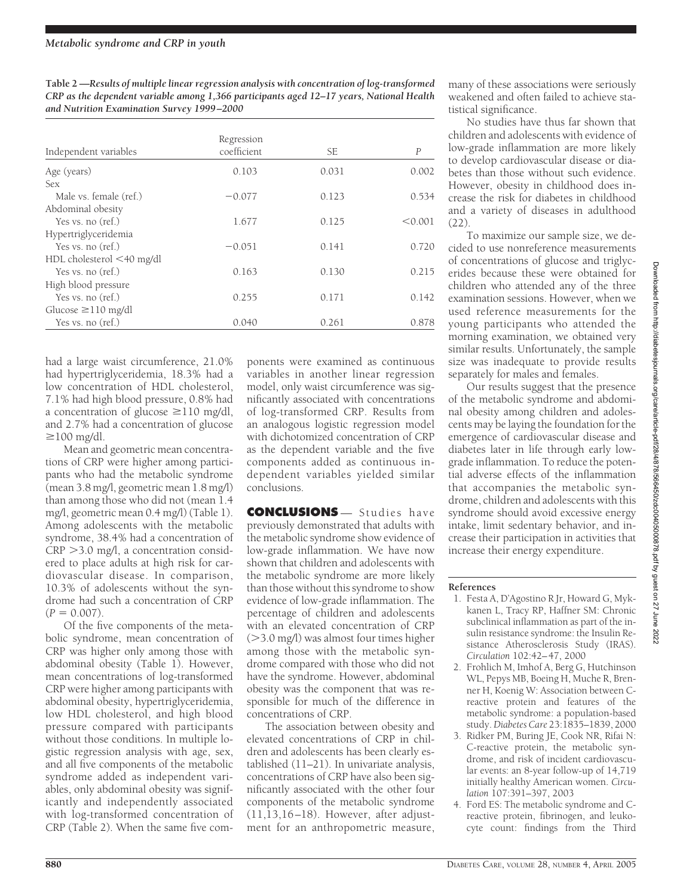**Table 2 —***Results of multiple linear regression analysis with concentration of log-transformed CRP as the dependent variable among 1,366 participants aged 12–17 years, National Health and Nutrition Examination Survey 1999 –2000*

| Independent variables     | Regression<br>coefficient | SE    | $\boldsymbol{P}$ |
|---------------------------|---------------------------|-------|------------------|
| Age (years)               | 0.103                     | 0.031 | 0.002            |
| <b>Sex</b>                |                           |       |                  |
| Male vs. female (ref.)    | $-0.077$                  | 0.123 | 0.534            |
| Abdominal obesity         |                           |       |                  |
| Yes vs. no (ref.)         | 1.677                     | 0.125 | < 0.001          |
| Hypertriglyceridemia      |                           |       |                  |
| Yes vs. no (ref.)         | $-0.051$                  | 0.141 | 0.720            |
| HDL cholesterol <40 mg/dl |                           |       |                  |
| Yes vs. no (ref.)         | 0.163                     | 0.130 | 0.215            |
| High blood pressure       |                           |       |                  |
| Yes vs. no (ref.)         | 0.255                     | 0.171 | 0.142            |
| Glucose $\geq$ 110 mg/dl  |                           |       |                  |
| Yes vs. no (ref.)         | 0.040                     | 0.261 | 0.878            |

had a large waist circumference, 21.0% had hypertriglyceridemia, 18.3% had a low concentration of HDL cholesterol, 7.1% had high blood pressure, 0.8% had a concentration of glucose  $\geq$ 110 mg/dl, and 2.7% had a concentration of glucose  $\geq$ 100 mg/dl.

Mean and geometric mean concentrations of CRP were higher among participants who had the metabolic syndrome (mean 3.8 mg/l, geometric mean 1.8 mg/l) than among those who did not (mean 1.4 mg/l, geometric mean 0.4 mg/l) (Table 1). Among adolescents with the metabolic syndrome, 38.4% had a concentration of  $CRP > 3.0$  mg/l, a concentration considered to place adults at high risk for cardiovascular disease. In comparison, 10.3% of adolescents without the syndrome had such a concentration of CRP  $(P = 0.007)$ .

Of the five components of the metabolic syndrome, mean concentration of CRP was higher only among those with abdominal obesity (Table 1). However, mean concentrations of log-transformed CRP were higher among participants with abdominal obesity, hypertriglyceridemia, low HDL cholesterol, and high blood pressure compared with participants without those conditions. In multiple logistic regression analysis with age, sex, and all five components of the metabolic syndrome added as independent variables, only abdominal obesity was significantly and independently associated with log-transformed concentration of CRP (Table 2). When the same five com-

ponents were examined as continuous variables in another linear regression model, only waist circumference was significantly associated with concentrations of log-transformed CRP. Results from an analogous logistic regression model with dichotomized concentration of CRP as the dependent variable and the five components added as continuous independent variables yielded similar conclusions.

**CONCLUSIONS** — Studies have previously demonstrated that adults with the metabolic syndrome show evidence of low-grade inflammation. We have now shown that children and adolescents with the metabolic syndrome are more likely than those without this syndrome to show evidence of low-grade inflammation. The percentage of children and adolescents with an elevated concentration of CRP  $(>3.0 \text{ mg/l})$  was almost four times higher among those with the metabolic syndrome compared with those who did not have the syndrome. However, abdominal obesity was the component that was responsible for much of the difference in concentrations of CRP.

The association between obesity and elevated concentrations of CRP in children and adolescents has been clearly established (11–21). In univariate analysis, concentrations of CRP have also been significantly associated with the other four components of the metabolic syndrome (11,13,16–18). However, after adjustment for an anthropometric measure, many of these associations were seriously weakened and often failed to achieve statistical significance.

No studies have thus far shown that children and adolescents with evidence of low-grade inflammation are more likely to develop cardiovascular disease or diabetes than those without such evidence. However, obesity in childhood does increase the risk for diabetes in childhood and a variety of diseases in adulthood (22).

To maximize our sample size, we decided to use nonreference measurements of concentrations of glucose and triglycerides because these were obtained for children who attended any of the three examination sessions. However, when we used reference measurements for the young participants who attended the morning examination, we obtained very similar results. Unfortunately, the sample size was inadequate to provide results separately for males and females.

Our results suggest that the presence of the metabolic syndrome and abdominal obesity among children and adolescents may be laying the foundation for the emergence of cardiovascular disease and diabetes later in life through early lowgrade inflammation. To reduce the potential adverse effects of the inflammation that accompanies the metabolic syndrome, children and adolescents with this syndrome should avoid excessive energy intake, limit sedentary behavior, and increase their participation in activities that increase their energy expenditure.

## **References**

- 1. Festa A, D'Agostino R Jr, Howard G, Mykkanen L, Tracy RP, Haffner SM: Chronic subclinical inflammation as part of the insulin resistance syndrome: the Insulin Resistance Atherosclerosis Study (IRAS). *Circulation* 102:42–47, 2000
- 2. Frohlich M, Imhof A, Berg G, Hutchinson WL, Pepys MB, Boeing H, Muche R, Brenner H, Koenig W: Association between Creactive protein and features of the metabolic syndrome: a population-based study.*Diabetes Care* 23:1835–1839, 2000
- 3. Ridker PM, Buring JE, Cook NR, Rifai N: C-reactive protein, the metabolic syndrome, and risk of incident cardiovascular events: an 8-year follow-up of 14,719 initially healthy American women. *Circulation* 107:391–397, 2003
- 4. Ford ES: The metabolic syndrome and Creactive protein, fibrinogen, and leukocyte count: findings from the Third